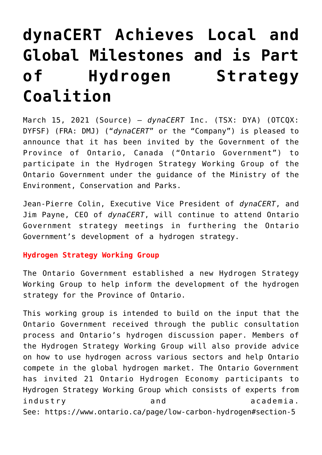# **[dynaCERT Achieves Local and](https://investorintel.com/markets/cleantech/cleantech-news/dynacert-achieves-local-and-global-milestones-and-is-part-of-hydrogen-strategy-coalition/) [Global Milestones and is Part](https://investorintel.com/markets/cleantech/cleantech-news/dynacert-achieves-local-and-global-milestones-and-is-part-of-hydrogen-strategy-coalition/) [of Hydrogen Strategy](https://investorintel.com/markets/cleantech/cleantech-news/dynacert-achieves-local-and-global-milestones-and-is-part-of-hydrogen-strategy-coalition/) [Coalition](https://investorintel.com/markets/cleantech/cleantech-news/dynacert-achieves-local-and-global-milestones-and-is-part-of-hydrogen-strategy-coalition/)**

March 15, 2021 ([Source\)](https://www.businesswire.com/news/home/20210315005255/en/dynaCERT-Achieves-Local-and-Global-Milestones-and-is-Part-of-Hydrogen-Strategy-Coalition) — *dynaCERT* Inc. (TSX: DYA) (OTCQX: DYFSF) (FRA: DMJ) ("*dynaCERT*" or the "Company") is pleased to announce that it has been invited by the Government of the Province of Ontario, Canada ("Ontario Government") to participate in the Hydrogen Strategy Working Group of the Ontario Government under the guidance of the Ministry of the Environment, Conservation and Parks.

Jean-Pierre Colin, Executive Vice President of *dynaCERT*, and Jim Payne, CEO of *dynaCERT*, will continue to attend Ontario Government strategy meetings in furthering the Ontario Government's development of a hydrogen strategy.

# **Hydrogen Strategy Working Group**

The Ontario Government established a new Hydrogen Strategy Working Group to help inform the development of the hydrogen strategy for the Province of Ontario.

This working group is intended to build on the input that the Ontario Government received through the public consultation process and [Ontario's hydrogen discussion paper](https://cts.businesswire.com/ct/CT?id=smartlink&url=https%3A%2F%2Fero.ontario.ca%2Fnotice%2F019-2709&esheet=52395725&newsitemid=20210315005255&lan=en-US&anchor=Ontario%26%238217%3Bs+hydrogen+discussion+paper&index=1&md5=2a88f33037a788ddfd415e01bc85a4e5). Members of the Hydrogen Strategy Working Group will also provide advice on how to use hydrogen across various sectors and help Ontario compete in the global hydrogen market. The Ontario Government has invited 21 Ontario Hydrogen Economy participants to Hydrogen Strategy Working Group which consists of experts from industry and academia. See: [https://www.ontario.ca/page/low-carbon-hydrogen#section-5](https://cts.businesswire.com/ct/CT?id=smartlink&url=https%3A%2F%2Fwww.ontario.ca%2Fpage%2Flow-carbon-hydrogen%23section-5&esheet=52395725&newsitemid=20210315005255&lan=en-US&anchor=https%3A%2F%2Fwww.ontario.ca%2Fpage%2Flow-carbon-hydrogen%23section-5&index=2&md5=7987266291f5e9276e5f374119f8a85f)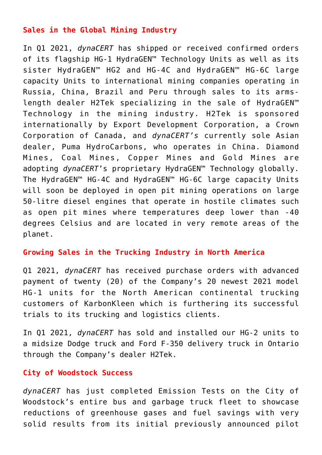# **Sales in the Global Mining Industry**

In Q1 2021, *dynaCERT* has shipped or received confirmed orders of its flagship HG-1 HydraGEN™ Technology Units as well as its sister HydraGEN™ HG2 and HG-4C and HydraGEN™ HG-6C large capacity Units to international mining companies operating in Russia, China, Brazil and Peru through sales to its armslength dealer H2Tek specializing in the sale of HydraGEN™ Technology in the mining industry. H2Tek is sponsored internationally by Export Development Corporation, a Crown Corporation of Canada, and *dynaCERT's* currently sole Asian dealer, Puma HydroCarbons, who operates in China. Diamond Mines, Coal Mines, Copper Mines and Gold Mines are adopting *dynaCERT*'s proprietary HydraGEN™ Technology globally. The HydraGEN™ HG-4C and HydraGEN™ HG-6C large capacity Units will soon be deployed in open pit mining operations on large 50-litre diesel engines that operate in hostile climates such as open pit mines where temperatures deep lower than -40 degrees Celsius and are located in very remote areas of the planet.

## **Growing Sales in the Trucking Industry in North America**

Q1 2021, *dynaCERT* has received purchase orders with advanced payment of twenty (20) of the Company's 20 newest 2021 model HG-1 units for the North American continental trucking customers of KarbonKleen which is furthering its successful trials to its trucking and logistics clients.

In Q1 2021, *dynaCERT* has sold and installed our HG-2 units to a midsize Dodge truck and Ford F-350 delivery truck in Ontario through the Company's dealer H2Tek.

## **City of Woodstock Success**

*dynaCERT* has just completed Emission Tests on the City of Woodstock's entire bus and garbage truck fleet to showcase reductions of greenhouse gases and fuel savings with very solid results from its initial previously announced pilot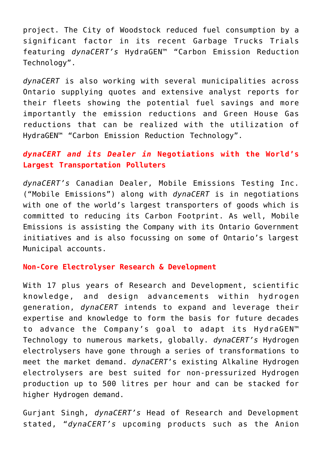project. The City of Woodstock reduced fuel consumption by a significant factor in its recent Garbage Trucks Trials featuring *dynaCERT's* HydraGEN™ "Carbon Emission Reduction Technology".

*dynaCERT* is also working with several municipalities across Ontario supplying quotes and extensive analyst reports for their fleets showing the potential fuel savings and more importantly the emission reductions and Green House Gas reductions that can be realized with the utilization of HydraGEN™ "Carbon Emission Reduction Technology".

# *dynaCERT and its Dealer in* **Negotiations with the World's Largest Transportation Polluters**

*dynaCERT's* Canadian Dealer, Mobile Emissions Testing Inc. ("Mobile Emissions") along with *dynaCERT* is in negotiations with one of the world's largest transporters of goods which is committed to reducing its Carbon Footprint. As well, Mobile Emissions is assisting the Company with its Ontario Government initiatives and is also focussing on some of Ontario's largest Municipal accounts.

# **Non-Core Electrolyser Research & Development**

With 17 plus years of Research and Development, scientific knowledge, and design advancements within hydrogen generation, *dynaCERT* intends to expand and leverage their expertise and knowledge to form the basis for future decades to advance the Company's goal to adapt its HydraGEN™ Technology to numerous markets, globally. *dynaCERT's* Hydrogen electrolysers have gone through a series of transformations to meet the market demand. *dynaCERT*'s existing Alkaline Hydrogen electrolysers are best suited for non-pressurized Hydrogen production up to 500 litres per hour and can be stacked for higher Hydrogen demand.

Gurjant Singh, *dynaCERT's* Head of Research and Development stated, "*dynaCERT's* upcoming products such as the Anion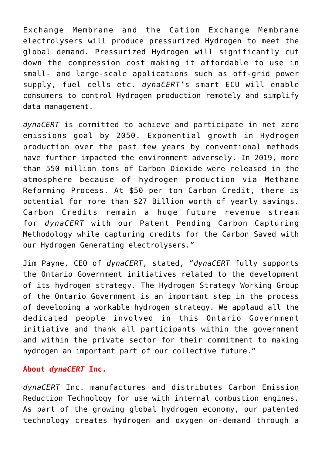Exchange Membrane and the Cation Exchange Membrane electrolysers will produce pressurized Hydrogen to meet the global demand. Pressurized Hydrogen will significantly cut down the compression cost making it affordable to use in small- and large-scale applications such as off-grid power supply, fuel cells etc. *dynaCERT*'s smart ECU will enable consumers to control Hydrogen production remotely and simplify data management.

*dynaCERT* is committed to achieve and participate in net zero emissions goal by 2050. Exponential growth in Hydrogen production over the past few years by conventional methods have further impacted the environment adversely. In 2019, more than 550 million tons of Carbon Dioxide were released in the atmosphere because of hydrogen production via Methane Reforming Process. At \$50 per ton Carbon Credit, there is potential for more than \$27 Billion worth of yearly savings. Carbon Credits remain a huge future revenue stream for *dynaCERT* with our Patent Pending Carbon Capturing Methodology while capturing credits for the Carbon Saved with our Hydrogen Generating electrolysers."

Jim Payne, CEO of *dynaCERT*, stated, "*dynaCERT* fully supports the Ontario Government initiatives related to the development of its hydrogen strategy. The Hydrogen Strategy Working Group of the Ontario Government is an important step in the process of developing a workable hydrogen strategy. We applaud all the dedicated people involved in this Ontario Government initiative and thank all participants within the government and within the private sector for their commitment to making hydrogen an important part of our collective future."

## **About** *dynaCERT* **Inc.**

*dynaCERT* Inc. manufactures and distributes Carbon Emission Reduction Technology for use with internal combustion engines. As part of the growing global hydrogen economy, our patented technology creates hydrogen and oxygen on-demand through a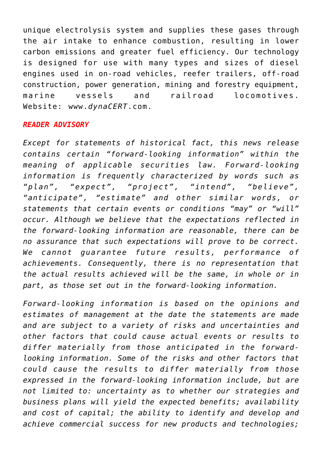unique electrolysis system and supplies these gases through the air intake to enhance combustion, resulting in lower carbon emissions and greater fuel efficiency. Our technology is designed for use with many types and sizes of diesel engines used in on-road vehicles, reefer trailers, off-road construction, power generation, mining and forestry equipment, marine vessels and railroad locomotives. Website: [www.](https://cts.businesswire.com/ct/CT?id=smartlink&url=http%3A%2F%2Fwww.dynaCERT.com&esheet=52395725&newsitemid=20210315005255&lan=en-US&anchor=www.dynaCERT.com&index=3&md5=60dbd8a19a324cfaf45b53096fe6d1b9)*[dynaCERT](https://cts.businesswire.com/ct/CT?id=smartlink&url=http%3A%2F%2Fwww.dynaCERT.com&esheet=52395725&newsitemid=20210315005255&lan=en-US&anchor=www.dynaCERT.com&index=3&md5=60dbd8a19a324cfaf45b53096fe6d1b9)*[.com.](https://cts.businesswire.com/ct/CT?id=smartlink&url=http%3A%2F%2Fwww.dynaCERT.com&esheet=52395725&newsitemid=20210315005255&lan=en-US&anchor=www.dynaCERT.com&index=3&md5=60dbd8a19a324cfaf45b53096fe6d1b9)

## *READER ADVISORY*

*Except for statements of historical fact, this news release contains certain "forward-looking information" within the meaning of applicable securities law. Forward-looking information is frequently characterized by words such as "plan", "expect", "project", "intend", "believe", "anticipate", "estimate" and other similar words, or statements that certain events or conditions "may" or "will" occur. Although we believe that the expectations reflected in the forward-looking information are reasonable, there can be no assurance that such expectations will prove to be correct. We cannot guarantee future results, performance of achievements. Consequently, there is no representation that the actual results achieved will be the same, in whole or in part, as those set out in the forward-looking information.*

*Forward-looking information is based on the opinions and estimates of management at the date the statements are made and are subject to a variety of risks and uncertainties and other factors that could cause actual events or results to differ materially from those anticipated in the forwardlooking information. Some of the risks and other factors that could cause the results to differ materially from those expressed in the forward-looking information include, but are not limited to: uncertainty as to whether our strategies and business plans will yield the expected benefits; availability and cost of capital; the ability to identify and develop and achieve commercial success for new products and technologies;*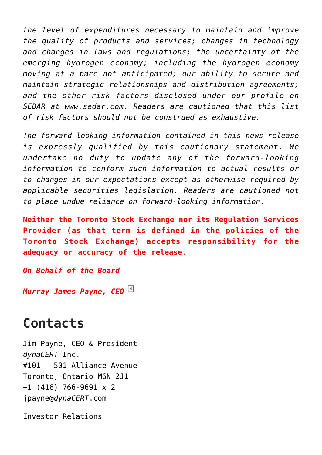*the level of expenditures necessary to maintain and improve the quality of products and services; changes in technology and changes in laws and regulations; the uncertainty of the emerging hydrogen economy; including the hydrogen economy moving at a pace not anticipated; our ability to secure and maintain strategic relationships and distribution agreements; and the other risk factors disclosed under our profile on SEDAR at [www.sedar.com.](https://cts.businesswire.com/ct/CT?id=smartlink&url=http%3A%2F%2Fwww.sedar.com%2F&esheet=52395725&newsitemid=20210315005255&lan=en-US&anchor=www.sedar.com&index=4&md5=3cd0e1f6f1e3bfbd74b8d17a805112a2) Readers are cautioned that this list of risk factors should not be construed as exhaustive.*

*The forward-looking information contained in this news release is expressly qualified by this cautionary statement. We undertake no duty to update any of the forward-looking information to conform such information to actual results or to changes in our expectations except as otherwise required by applicable securities legislation. Readers are cautioned not to place undue reliance on forward-looking information.*

**Neither the Toronto Stock Exchange nor its Regulation Services Provider (as that term is defined in the policies of the Toronto Stock Exchange) accepts responsibility for the adequacy or accuracy of the release.**

*On Behalf of the Board*

*Murray James Payne, CEO*

# **Contacts**

Jim Payne, CEO & President *dynaCERT* Inc. #101 – 501 Alliance Avenue Toronto, Ontario M6N 2J1 +1 (416) 766-9691 x 2 [jpayne@](mailto:jpayne@dynaCERT.com)*[dynaCERT](mailto:jpayne@dynaCERT.com)*[.com](mailto:jpayne@dynaCERT.com)

Investor Relations